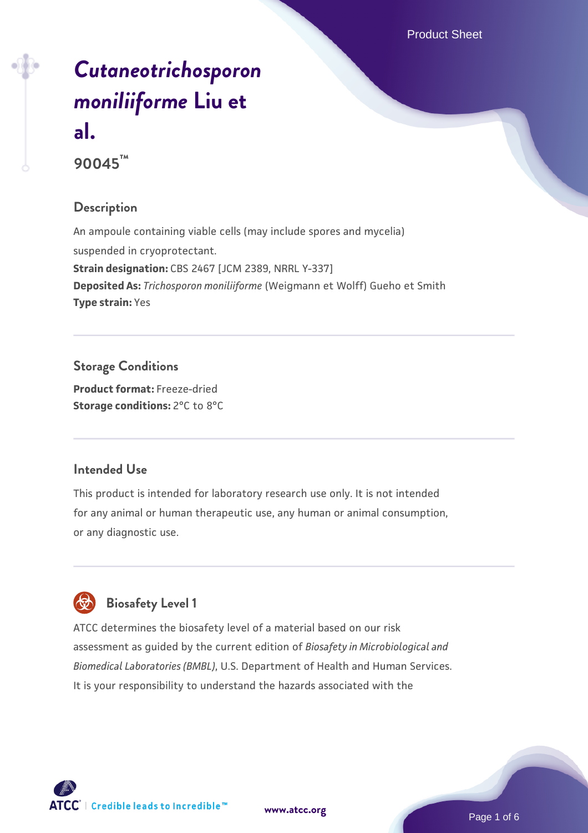# *[Cutaneotrichosporon](https://www.atcc.org/products/90045) [moniliiforme](https://www.atcc.org/products/90045)* **[Liu et](https://www.atcc.org/products/90045) [al.](https://www.atcc.org/products/90045) 90045™**

**Description**

An ampoule containing viable cells (may include spores and mycelia) suspended in cryoprotectant. **Strain designation:** CBS 2467 [JCM 2389, NRRL Y-337] **Deposited As:** *Trichosporon moniliiforme* (Weigmann et Wolff) Gueho et Smith **Type strain:** Yes

**Storage Conditions Product format:** Freeze-dried

**Storage conditions:** 2°C to 8°C

## **Intended Use**

This product is intended for laboratory research use only. It is not intended for any animal or human therapeutic use, any human or animal consumption, or any diagnostic use.



ATCC determines the biosafety level of a material based on our risk assessment as guided by the current edition of *Biosafety in Microbiological and Biomedical Laboratories (BMBL)*, U.S. Department of Health and Human Services. It is your responsibility to understand the hazards associated with the



**[www.atcc.org](http://www.atcc.org)**

Page 1 of 6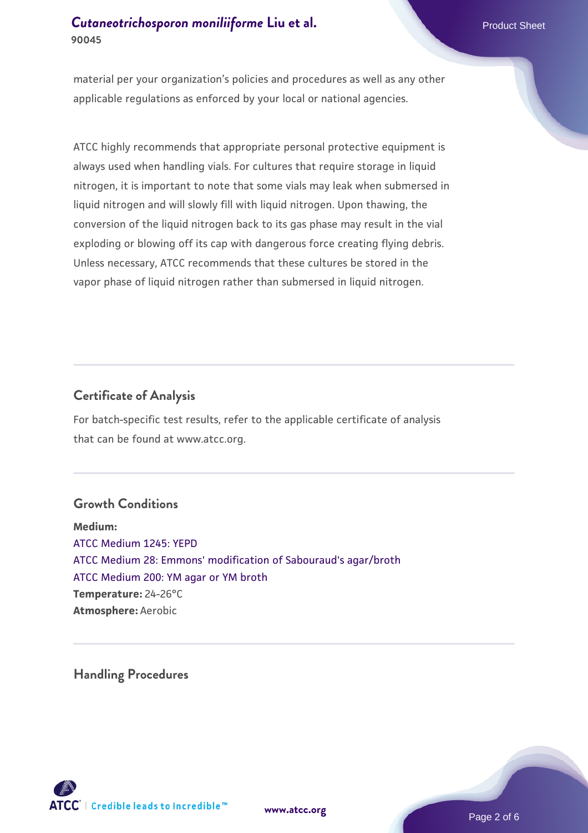## **[Cutaneotrichosporon moniliiforme](https://www.atcc.org/products/90045)** [Liu et al.](https://www.atcc.org/products/90045) Product Sheet **90045**

material per your organization's policies and procedures as well as any other applicable regulations as enforced by your local or national agencies.

ATCC highly recommends that appropriate personal protective equipment is always used when handling vials. For cultures that require storage in liquid nitrogen, it is important to note that some vials may leak when submersed in liquid nitrogen and will slowly fill with liquid nitrogen. Upon thawing, the conversion of the liquid nitrogen back to its gas phase may result in the vial exploding or blowing off its cap with dangerous force creating flying debris. Unless necessary, ATCC recommends that these cultures be stored in the vapor phase of liquid nitrogen rather than submersed in liquid nitrogen.

### **Certificate of Analysis**

For batch-specific test results, refer to the applicable certificate of analysis that can be found at www.atcc.org.

#### **Growth Conditions**

**Medium:**  [ATCC Medium 1245: YEPD](https://www.atcc.org/-/media/product-assets/documents/microbial-media-formulations/1/2/4/5/atcc-medium-1245.pdf?rev=705ca55d1b6f490a808a965d5c072196) [ATCC Medium 28: Emmons' modification of Sabouraud's agar/broth](https://www.atcc.org/-/media/product-assets/documents/microbial-media-formulations/2/8/atcc-medium-28.pdf?rev=0da0c58cc2a343eeae735016b70809bb) [ATCC Medium 200: YM agar or YM broth](https://www.atcc.org/-/media/product-assets/documents/microbial-media-formulations/2/0/0/atcc-medium-200.pdf?rev=ac40fd74dc13433a809367b0b9da30fc) **Temperature:** 24-26°C **Atmosphere:** Aerobic

**Handling Procedures**





Page 2 of 6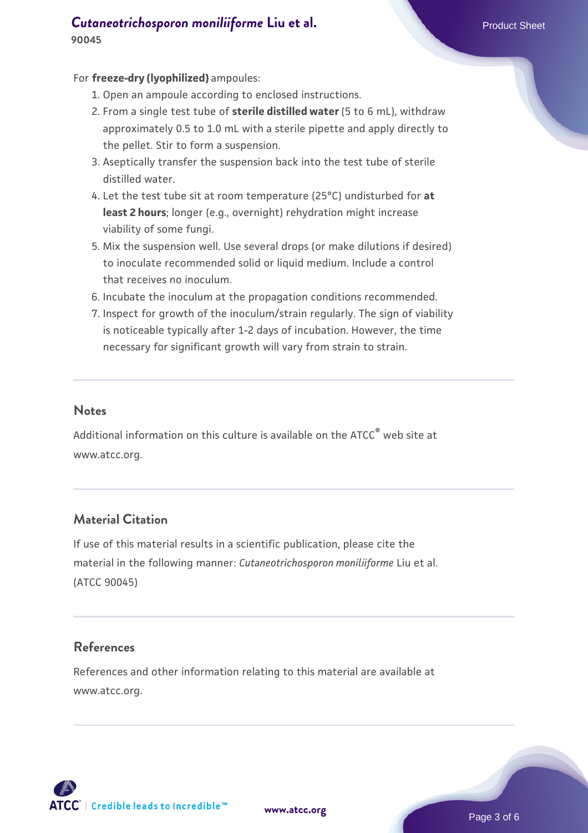## **[Cutaneotrichosporon moniliiforme](https://www.atcc.org/products/90045)** [Liu et al.](https://www.atcc.org/products/90045) Product Sheet **90045**

#### For **freeze-dry (lyophilized)** ampoules:

- 1. Open an ampoule according to enclosed instructions.
- 2. From a single test tube of **sterile distilled water** (5 to 6 mL), withdraw approximately 0.5 to 1.0 mL with a sterile pipette and apply directly to the pellet. Stir to form a suspension.
- 3. Aseptically transfer the suspension back into the test tube of sterile distilled water.
- Let the test tube sit at room temperature (25°C) undisturbed for **at** 4. **least 2 hours**; longer (e.g., overnight) rehydration might increase viability of some fungi.
- Mix the suspension well. Use several drops (or make dilutions if desired) 5. to inoculate recommended solid or liquid medium. Include a control that receives no inoculum.
- 6. Incubate the inoculum at the propagation conditions recommended.
- 7. Inspect for growth of the inoculum/strain regularly. The sign of viability is noticeable typically after 1-2 days of incubation. However, the time necessary for significant growth will vary from strain to strain.

#### **Notes**

Additional information on this culture is available on the ATCC® web site at www.atcc.org.

## **Material Citation**

If use of this material results in a scientific publication, please cite the material in the following manner: *Cutaneotrichosporon moniliiforme* Liu et al. (ATCC 90045)

## **References**

References and other information relating to this material are available at www.atcc.org.

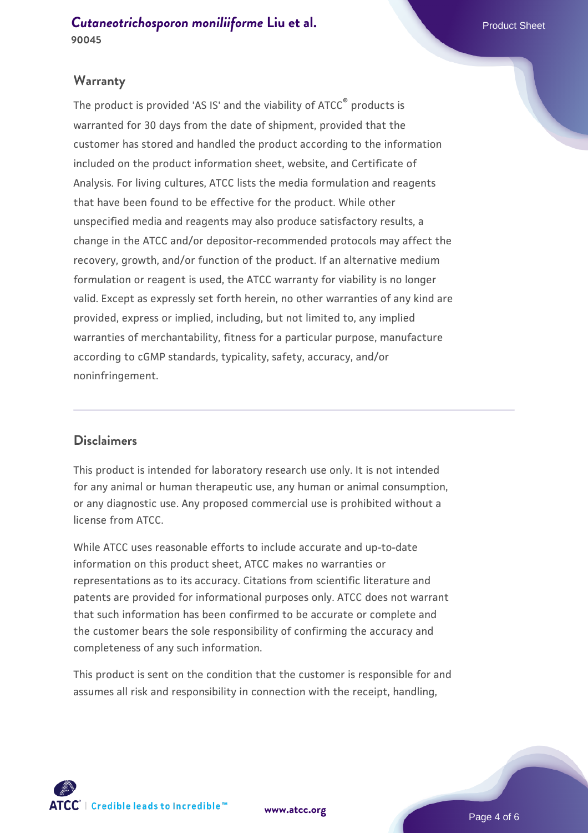**[Cutaneotrichosporon moniliiforme](https://www.atcc.org/products/90045)** [Liu et al.](https://www.atcc.org/products/90045) Product Sheet **90045**

#### **Warranty**

The product is provided 'AS IS' and the viability of ATCC® products is warranted for 30 days from the date of shipment, provided that the customer has stored and handled the product according to the information included on the product information sheet, website, and Certificate of Analysis. For living cultures, ATCC lists the media formulation and reagents that have been found to be effective for the product. While other unspecified media and reagents may also produce satisfactory results, a change in the ATCC and/or depositor-recommended protocols may affect the recovery, growth, and/or function of the product. If an alternative medium formulation or reagent is used, the ATCC warranty for viability is no longer valid. Except as expressly set forth herein, no other warranties of any kind are provided, express or implied, including, but not limited to, any implied warranties of merchantability, fitness for a particular purpose, manufacture according to cGMP standards, typicality, safety, accuracy, and/or noninfringement.

## **Disclaimers**

This product is intended for laboratory research use only. It is not intended for any animal or human therapeutic use, any human or animal consumption, or any diagnostic use. Any proposed commercial use is prohibited without a license from ATCC.

While ATCC uses reasonable efforts to include accurate and up-to-date information on this product sheet, ATCC makes no warranties or representations as to its accuracy. Citations from scientific literature and patents are provided for informational purposes only. ATCC does not warrant that such information has been confirmed to be accurate or complete and the customer bears the sole responsibility of confirming the accuracy and completeness of any such information.

This product is sent on the condition that the customer is responsible for and assumes all risk and responsibility in connection with the receipt, handling,



**[www.atcc.org](http://www.atcc.org)**

Page 4 of 6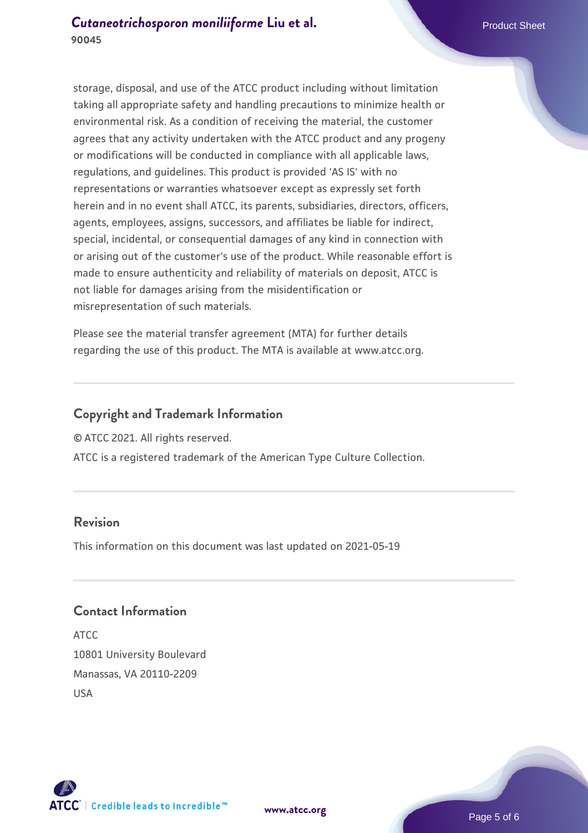storage, disposal, and use of the ATCC product including without limitation taking all appropriate safety and handling precautions to minimize health or environmental risk. As a condition of receiving the material, the customer agrees that any activity undertaken with the ATCC product and any progeny or modifications will be conducted in compliance with all applicable laws, regulations, and guidelines. This product is provided 'AS IS' with no representations or warranties whatsoever except as expressly set forth herein and in no event shall ATCC, its parents, subsidiaries, directors, officers, agents, employees, assigns, successors, and affiliates be liable for indirect, special, incidental, or consequential damages of any kind in connection with or arising out of the customer's use of the product. While reasonable effort is made to ensure authenticity and reliability of materials on deposit, ATCC is not liable for damages arising from the misidentification or misrepresentation of such materials.

Please see the material transfer agreement (MTA) for further details regarding the use of this product. The MTA is available at www.atcc.org.

## **Copyright and Trademark Information**

© ATCC 2021. All rights reserved.

ATCC is a registered trademark of the American Type Culture Collection.

## **Revision**

This information on this document was last updated on 2021-05-19

## **Contact Information**

ATCC 10801 University Boulevard Manassas, VA 20110-2209 USA